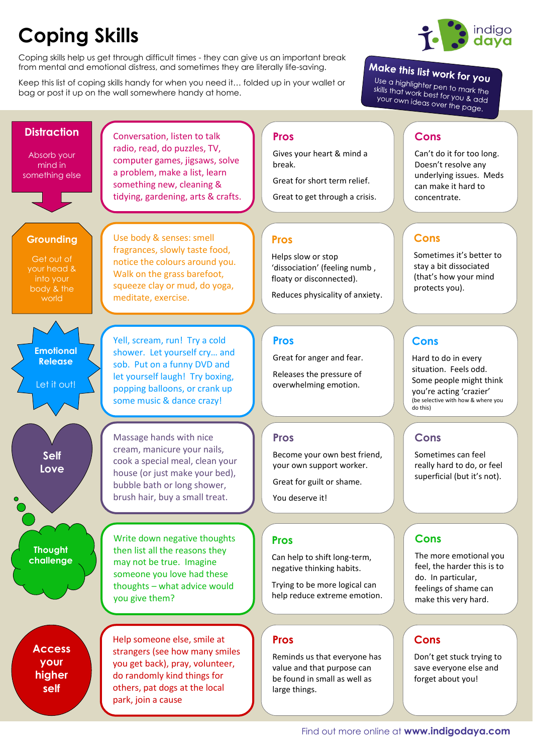## **Coping Skills**

Coping skills help us get through difficult times - they can give us an important break from mental and emotional distress, and sometimes they are literally life-saving.

Keep this list of coping skills handy for when you need it… folded up in your wallet or bag or post it up on the wall somewhere handy at home.



## Make this list work for you

Use a highlighter pen to mark the<br>skills that work best for you. a see a nighlighter pen to mark the<br>skills that work best for you & add<br>your own ideas over the nyour own ideas over the page.